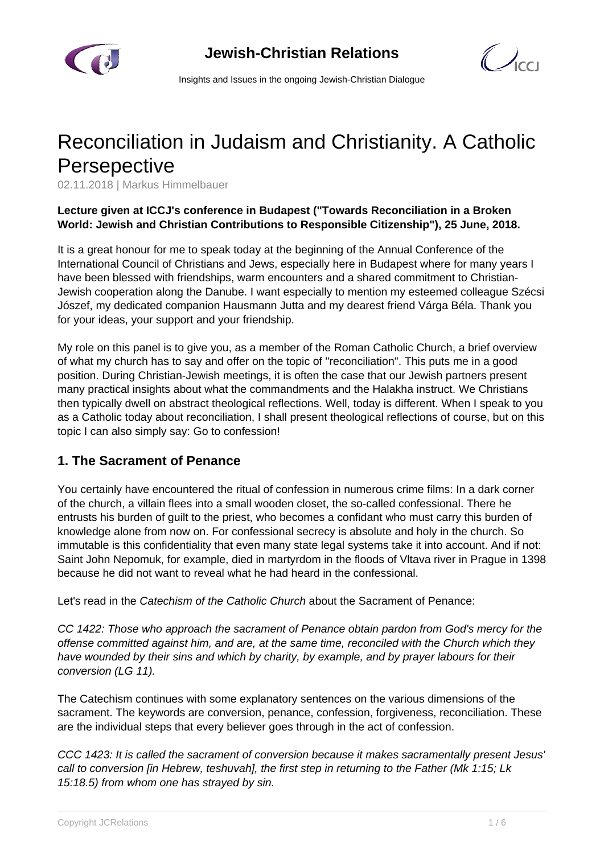



Insights and Issues in the ongoing Jewish-Christian Dialogue

# Reconciliation in Judaism and Christianity. A Catholic **Persepective**

02.11.2018 | Markus Himmelbauer

#### **Lecture given at ICCJ's conference in Budapest ("Towards Reconciliation in a Broken World: Jewish and Christian Contributions to Responsible Citizenship"), 25 June, 2018.**

It is a great honour for me to speak today at the beginning of the Annual Conference of the International Council of Christians and Jews, especially here in Budapest where for many years I have been blessed with friendships, warm encounters and a shared commitment to Christian-Jewish cooperation along the Danube. I want especially to mention my esteemed colleague Szécsi Jószef, my dedicated companion Hausmann Jutta and my dearest friend Várga Béla. Thank you for your ideas, your support and your friendship.

My role on this panel is to give you, as a member of the Roman Catholic Church, a brief overview of what my church has to say and offer on the topic of "reconciliation". This puts me in a good position. During Christian-Jewish meetings, it is often the case that our Jewish partners present many practical insights about what the commandments and the Halakha instruct. We Christians then typically dwell on abstract theological reflections. Well, today is different. When I speak to you as a Catholic today about reconciliation, I shall present theological reflections of course, but on this topic I can also simply say: Go to confession!

### **1. The Sacrament of Penance**

You certainly have encountered the ritual of confession in numerous crime films: In a dark corner of the church, a villain flees into a small wooden closet, the so-called confessional. There he entrusts his burden of guilt to the priest, who becomes a confidant who must carry this burden of knowledge alone from now on. For confessional secrecy is absolute and holy in the church. So immutable is this confidentiality that even many state legal systems take it into account. And if not: Saint John Nepomuk, for example, died in martyrdom in the floods of Vltava river in Prague in 1398 because he did not want to reveal what he had heard in the confessional.

Let's read in the Catechism of the Catholic Church about the Sacrament of Penance:

CC 1422: Those who approach the sacrament of Penance obtain pardon from God's mercy for the offense committed against him, and are, at the same time, reconciled with the Church which they have wounded by their sins and which by charity, by example, and by prayer labours for their conversion (LG 11).

The Catechism continues with some explanatory sentences on the various dimensions of the sacrament. The keywords are conversion, penance, confession, forgiveness, reconciliation. These are the individual steps that every believer goes through in the act of confession.

CCC 1423: It is called the sacrament of conversion because it makes sacramentally present Jesus' call to conversion [in Hebrew, teshuvah], the first step in returning to the Father (Mk 1:15; Lk 15:18.5) from whom one has strayed by sin.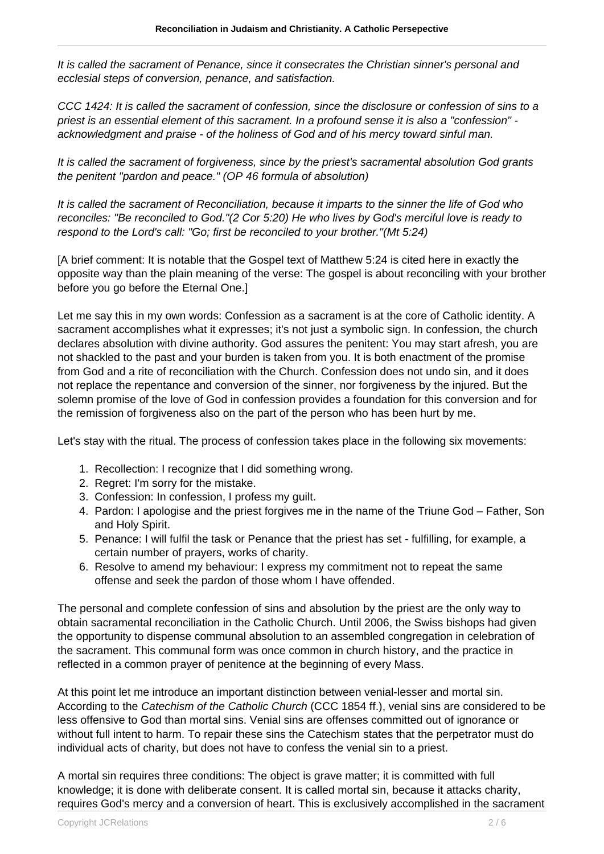It is called the sacrament of Penance, since it consecrates the Christian sinner's personal and ecclesial steps of conversion, penance, and satisfaction.

CCC 1424: It is called the sacrament of confession, since the disclosure or confession of sins to a priest is an essential element of this sacrament. In a profound sense it is also a "confession" acknowledgment and praise - of the holiness of God and of his mercy toward sinful man.

It is called the sacrament of forgiveness, since by the priest's sacramental absolution God grants the penitent "pardon and peace." (OP 46 formula of absolution)

It is called the sacrament of Reconciliation, because it imparts to the sinner the life of God who reconciles: "Be reconciled to God."(2 Cor 5:20) He who lives by God's merciful love is ready to respond to the Lord's call: "Go; first be reconciled to your brother."(Mt 5:24)

[A brief comment: It is notable that the Gospel text of Matthew 5:24 is cited here in exactly the opposite way than the plain meaning of the verse: The gospel is about reconciling with your brother before you go before the Eternal One.]

Let me say this in my own words: Confession as a sacrament is at the core of Catholic identity. A sacrament accomplishes what it expresses; it's not just a symbolic sign. In confession, the church declares absolution with divine authority. God assures the penitent: You may start afresh, you are not shackled to the past and your burden is taken from you. It is both enactment of the promise from God and a rite of reconciliation with the Church. Confession does not undo sin, and it does not replace the repentance and conversion of the sinner, nor forgiveness by the injured. But the solemn promise of the love of God in confession provides a foundation for this conversion and for the remission of forgiveness also on the part of the person who has been hurt by me.

Let's stay with the ritual. The process of confession takes place in the following six movements:

- 1. Recollection: I recognize that I did something wrong.
- 2. Regret: I'm sorry for the mistake.
- 3. Confession: In confession, I profess my guilt.
- 4. Pardon: I apologise and the priest forgives me in the name of the Triune God Father, Son and Holy Spirit.
- 5. Penance: I will fulfil the task or Penance that the priest has set fulfilling, for example, a certain number of prayers, works of charity.
- 6. Resolve to amend my behaviour: I express my commitment not to repeat the same offense and seek the pardon of those whom I have offended.

The personal and complete confession of sins and absolution by the priest are the only way to obtain sacramental reconciliation in the Catholic Church. Until 2006, the Swiss bishops had given the opportunity to dispense communal absolution to an assembled congregation in celebration of the sacrament. This communal form was once common in church history, and the practice in reflected in a common prayer of penitence at the beginning of every Mass.

At this point let me introduce an important distinction between venial-lesser and mortal sin. According to the Catechism of the Catholic Church (CCC 1854 ff.), venial sins are considered to be less offensive to God than mortal sins. Venial sins are offenses committed out of ignorance or without full intent to harm. To repair these sins the Catechism states that the perpetrator must do individual acts of charity, but does not have to confess the venial sin to a priest.

A mortal sin requires three conditions: The object is grave matter; it is committed with full knowledge; it is done with deliberate consent. It is called mortal sin, because it attacks charity, requires God's mercy and a conversion of heart. This is exclusively accomplished in the sacrament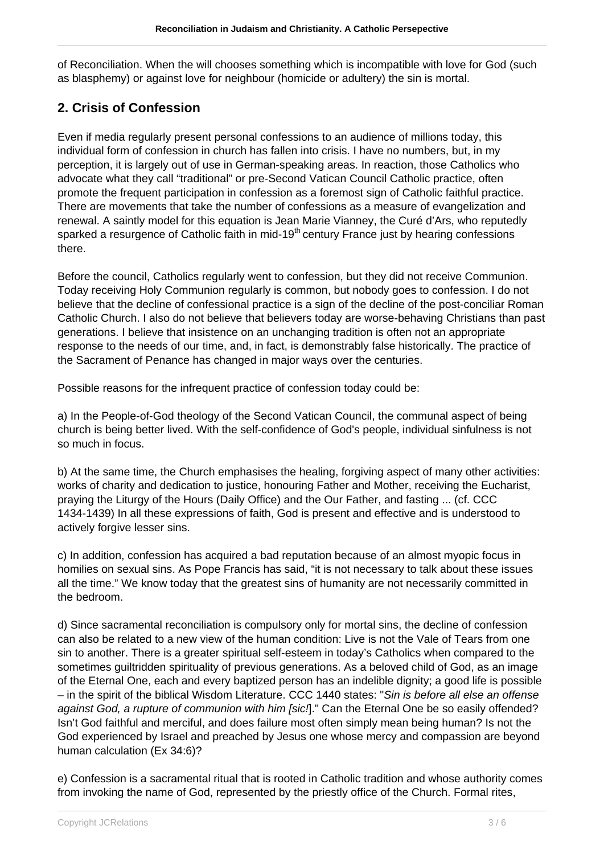of Reconciliation. When the will chooses something which is incompatible with love for God (such as blasphemy) or against love for neighbour (homicide or adultery) the sin is mortal.

## **2. Crisis of Confession**

Even if media regularly present personal confessions to an audience of millions today, this individual form of confession in church has fallen into crisis. I have no numbers, but, in my perception, it is largely out of use in German-speaking areas. In reaction, those Catholics who advocate what they call "traditional" or pre-Second Vatican Council Catholic practice, often promote the frequent participation in confession as a foremost sign of Catholic faithful practice. There are movements that take the number of confessions as a measure of evangelization and renewal. A saintly model for this equation is Jean Marie Vianney, the Curé d'Ars, who reputedly sparked a resurgence of Catholic faith in mid-19<sup>th</sup> century France just by hearing confessions there.

Before the council, Catholics regularly went to confession, but they did not receive Communion. Today receiving Holy Communion regularly is common, but nobody goes to confession. I do not believe that the decline of confessional practice is a sign of the decline of the post-conciliar Roman Catholic Church. I also do not believe that believers today are worse-behaving Christians than past generations. I believe that insistence on an unchanging tradition is often not an appropriate response to the needs of our time, and, in fact, is demonstrably false historically. The practice of the Sacrament of Penance has changed in major ways over the centuries.

Possible reasons for the infrequent practice of confession today could be:

a) In the People-of-God theology of the Second Vatican Council, the communal aspect of being church is being better lived. With the self-confidence of God's people, individual sinfulness is not so much in focus.

b) At the same time, the Church emphasises the healing, forgiving aspect of many other activities: works of charity and dedication to justice, honouring Father and Mother, receiving the Eucharist, praying the Liturgy of the Hours (Daily Office) and the Our Father, and fasting ... (cf. CCC 1434-1439) In all these expressions of faith, God is present and effective and is understood to actively forgive lesser sins.

c) In addition, confession has acquired a bad reputation because of an almost myopic focus in homilies on sexual sins. As Pope Francis has said, "it is not necessary to talk about these issues all the time." We know today that the greatest sins of humanity are not necessarily committed in the bedroom.

d) Since sacramental reconciliation is compulsory only for mortal sins, the decline of confession can also be related to a new view of the human condition: Live is not the Vale of Tears from one sin to another. There is a greater spiritual self-esteem in today's Catholics when compared to the sometimes guiltridden spirituality of previous generations. As a beloved child of God, as an image of the Eternal One, each and every baptized person has an indelible dignity; a good life is possible – in the spirit of the biblical Wisdom Literature. CCC 1440 states: "Sin is before all else an offense against God, a rupture of communion with him [sic]." Can the Eternal One be so easily offended? Isn't God faithful and merciful, and does failure most often simply mean being human? Is not the God experienced by Israel and preached by Jesus one whose mercy and compassion are beyond human calculation (Ex 34:6)?

e) Confession is a sacramental ritual that is rooted in Catholic tradition and whose authority comes from invoking the name of God, represented by the priestly office of the Church. Formal rites,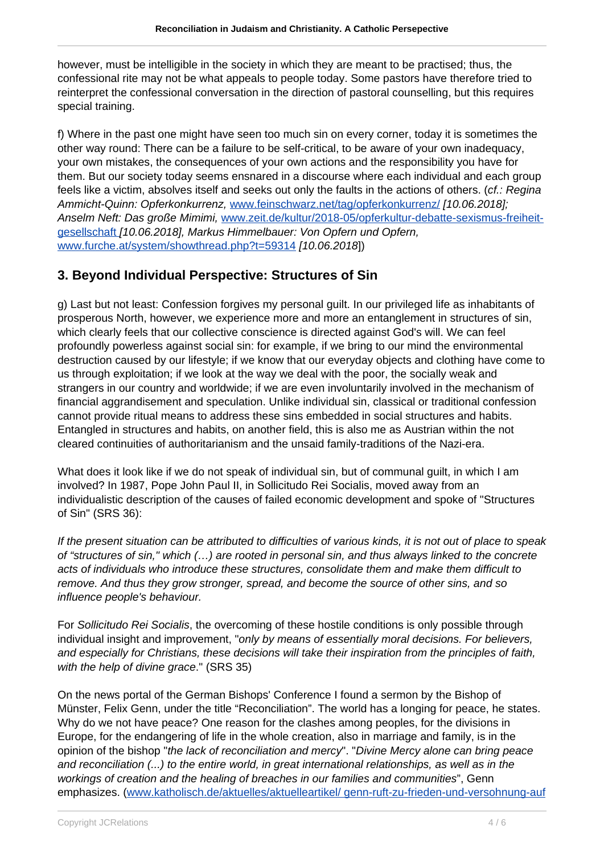however, must be intelligible in the society in which they are meant to be practised; thus, the confessional rite may not be what appeals to people today. Some pastors have therefore tried to reinterpret the confessional conversation in the direction of pastoral counselling, but this requires special training.

f) Where in the past one might have seen too much sin on every corner, today it is sometimes the other way round: There can be a failure to be self-critical, to be aware of your own inadequacy, your own mistakes, the consequences of your own actions and the responsibility you have for them. But our society today seems ensnared in a discourse where each individual and each group feels like a victim, absolves itself and seeks out only the faults in the actions of others. (cf.: Regina Ammicht-Quinn: Opferkonkurrenz, [www.feinschwarz.net/tag/opferkonkurrenz/](http://www.feinschwarz.net/tag/opferkonkurrenz/) [10.06.2018]; Anselm Neft: Das große Mimimi, [www.zeit.de/kultur/2018-05/opferkultur-debatte-sexismus-freiheit](http://www.zeit.de/kultur/2018-05/opferkultur-debatte-sexismus-freiheit-gesellschaft)[gesellschaft](http://www.zeit.de/kultur/2018-05/opferkultur-debatte-sexismus-freiheit-gesellschaft) [10.06.2018], Markus Himmelbauer: Von Opfern und Opfern, [www.furche.at/system/showthread.php?t=59314](http://www.furche.at/system/showthread.php?t=59314) [10.06.2018])

## **3. Beyond Individual Perspective: Structures of Sin**

g) Last but not least: Confession forgives my personal guilt. In our privileged life as inhabitants of prosperous North, however, we experience more and more an entanglement in structures of sin, which clearly feels that our collective conscience is directed against God's will. We can feel profoundly powerless against social sin: for example, if we bring to our mind the environmental destruction caused by our lifestyle; if we know that our everyday objects and clothing have come to us through exploitation; if we look at the way we deal with the poor, the socially weak and strangers in our country and worldwide; if we are even involuntarily involved in the mechanism of financial aggrandisement and speculation. Unlike individual sin, classical or traditional confession cannot provide ritual means to address these sins embedded in social structures and habits. Entangled in structures and habits, on another field, this is also me as Austrian within the not cleared continuities of authoritarianism and the unsaid family-traditions of the Nazi-era.

What does it look like if we do not speak of individual sin, but of communal guilt, in which I am involved? In 1987, Pope John Paul II, in Sollicitudo Rei Socialis, moved away from an individualistic description of the causes of failed economic development and spoke of "Structures of Sin" (SRS 36):

If the present situation can be attributed to difficulties of various kinds, it is not out of place to speak of "structures of sin," which (…) are rooted in personal sin, and thus always linked to the concrete acts of individuals who introduce these structures, consolidate them and make them difficult to remove. And thus they grow stronger, spread, and become the source of other sins, and so influence people's behaviour.

For Sollicitudo Rei Socialis, the overcoming of these hostile conditions is only possible through individual insight and improvement, "only by means of essentially moral decisions. For believers, and especially for Christians, these decisions will take their inspiration from the principles of faith, with the help of divine grace." (SRS 35)

On the news portal of the German Bishops' Conference I found a sermon by the Bishop of Münster, Felix Genn, under the title "Reconciliation". The world has a longing for peace, he states. Why do we not have peace? One reason for the clashes among peoples, for the divisions in Europe, for the endangering of life in the whole creation, also in marriage and family, is in the opinion of the bishop "the lack of reconciliation and mercy". "Divine Mercy alone can bring peace and reconciliation (...) to the entire world, in great international relationships, as well as in the workings of creation and the healing of breaches in our families and communities", Genn emphasizes. [\(www.katholisch.de/aktuelles/aktuelleartikel/ genn-ruft-zu-frieden-und-versohnung-auf](http://www.katholisch.de/aktuelles/aktuelleartikel/)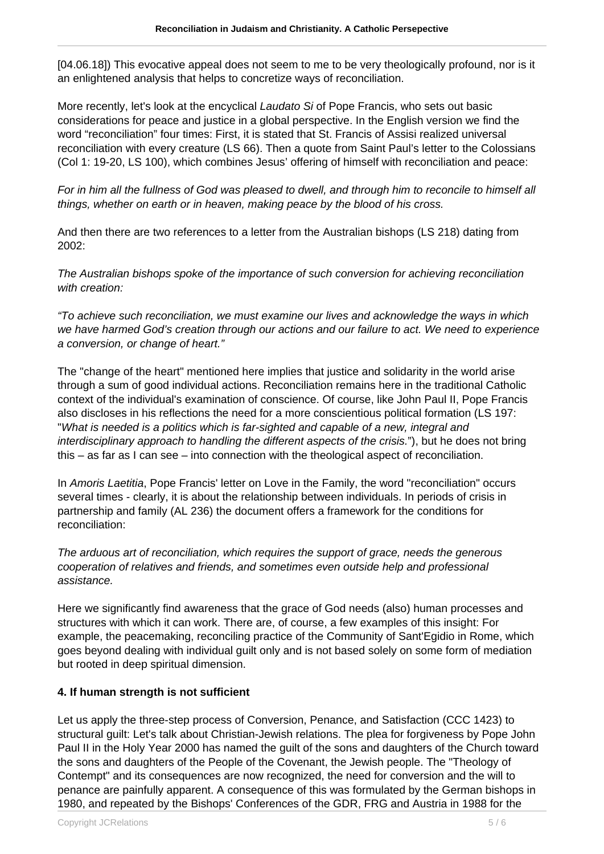[04.06.18]) This evocative appeal does not seem to me to be very theologically profound, nor is it an enlightened analysis that helps to concretize ways of reconciliation.

More recently, let's look at the encyclical *Laudato Si* of Pope Francis, who sets out basic considerations for peace and justice in a global perspective. In the English version we find the word "reconciliation" four times: First, it is stated that St. Francis of Assisi realized universal reconciliation with every creature (LS 66). Then a quote from Saint Paul's letter to the Colossians (Col 1: 19-20, LS 100), which combines Jesus' offering of himself with reconciliation and peace:

For in him all the fullness of God was pleased to dwell, and through him to reconcile to himself all things, whether on earth or in heaven, making peace by the blood of his cross.

And then there are two references to a letter from the Australian bishops (LS 218) dating from  $2002 -$ 

The Australian bishops spoke of the importance of such conversion for achieving reconciliation with creation:

"To achieve such reconciliation, we must examine our lives and acknowledge the ways in which we have harmed God's creation through our actions and our failure to act. We need to experience a conversion, or change of heart."

The "change of the heart" mentioned here implies that justice and solidarity in the world arise through a sum of good individual actions. Reconciliation remains here in the traditional Catholic context of the individual's examination of conscience. Of course, like John Paul II, Pope Francis also discloses in his reflections the need for a more conscientious political formation (LS 197: "What is needed is a politics which is far-sighted and capable of a new, integral and interdisciplinary approach to handling the different aspects of the crisis."), but he does not bring this – as far as I can see – into connection with the theological aspect of reconciliation.

In Amoris Laetitia, Pope Francis' letter on Love in the Family, the word "reconciliation" occurs several times - clearly, it is about the relationship between individuals. In periods of crisis in partnership and family (AL 236) the document offers a framework for the conditions for reconciliation:

The arduous art of reconciliation, which requires the support of grace, needs the generous cooperation of relatives and friends, and sometimes even outside help and professional assistance.

Here we significantly find awareness that the grace of God needs (also) human processes and structures with which it can work. There are, of course, a few examples of this insight: For example, the peacemaking, reconciling practice of the Community of Sant'Egidio in Rome, which goes beyond dealing with individual guilt only and is not based solely on some form of mediation but rooted in deep spiritual dimension.

#### **4. If human strength is not sufficient**

Let us apply the three-step process of Conversion, Penance, and Satisfaction (CCC 1423) to structural guilt: Let's talk about Christian-Jewish relations. The plea for forgiveness by Pope John Paul II in the Holy Year 2000 has named the guilt of the sons and daughters of the Church toward the sons and daughters of the People of the Covenant, the Jewish people. The "Theology of Contempt" and its consequences are now recognized, the need for conversion and the will to penance are painfully apparent. A consequence of this was formulated by the German bishops in 1980, and repeated by the Bishops' Conferences of the GDR, FRG and Austria in 1988 for the